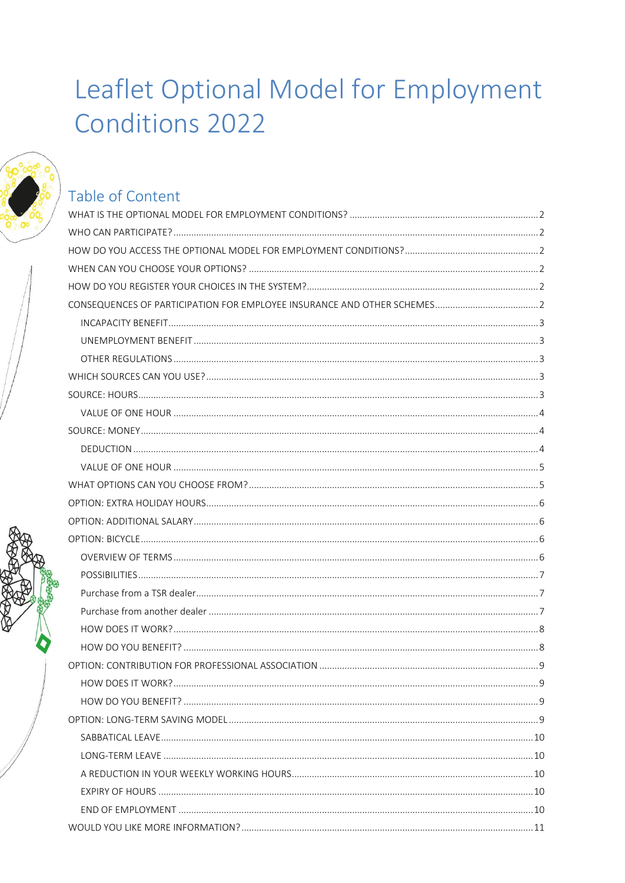# Leaflet Optional Model for Employment **Conditions 2022**



## Table of Content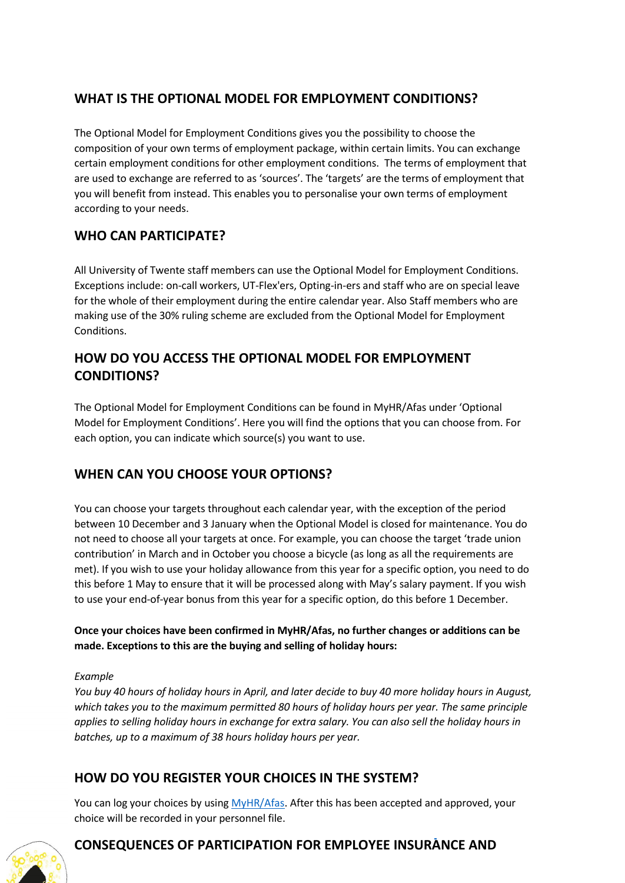### <span id="page-1-0"></span>**WHAT IS THE OPTIONAL MODEL FOR EMPLOYMENT CONDITIONS?**

The Optional Model for Employment Conditions gives you the possibility to choose the composition of your own terms of employment package, within certain limits. You can exchange certain employment conditions for other employment conditions. The terms of employment that are used to exchange are referred to as 'sources'. The 'targets' are the terms of employment that you will benefit from instead. This enables you to personalise your own terms of employment according to your needs.

### <span id="page-1-1"></span>**WHO CAN PARTICIPATE?**

All University of Twente staff members can use the Optional Model for Employment Conditions. Exceptions include: on-call workers, UT-Flex'ers, Opting-in-ers and staff who are on special leave for the whole of their employment during the entire calendar year. Also Staff members who are making use of the 30% ruling scheme are excluded from the Optional Model for Employment Conditions.

### <span id="page-1-2"></span>**HOW DO YOU ACCESS THE OPTIONAL MODEL FOR EMPLOYMENT CONDITIONS?**

The Optional Model for Employment Conditions can be found i[n MyHR/Afas](http://myhr.utwente.nl/) under 'Optional Model for Employment Conditions'. Here you will find the options that you can choose from. For each option, you can indicate which source(s) you want to use.

### <span id="page-1-3"></span>**WHEN CAN YOU CHOOSE YOUR OPTIONS?**

You can choose your targets throughout each calendar year, with the exception of the period between 10 December and 3 January when the Optional Model is closed for maintenance. You do not need to choose all your targets at once. For example, you can choose the target 'trade union contribution' in March and in October you choose a bicycle (as long as all the requirements are met). If you wish to use your holiday allowance from this year for a specific option, you need to do this before 1 May to ensure that it will be processed along with May's salary payment. If you wish to use your end-of-year bonus from this year for a specific option, do this before 1 December.

### **Once your choices have been confirmed in MyHR/Afas, no further changes or additions can be made. Exceptions to this are the buying and selling of holiday hours:**

### *Example*

*You buy 40 hours of holiday hours in April, and later decide to buy 40 more holiday hours in August, which takes you to the maximum permitted 80 hours of holiday hours per year. The same principle applies to selling holiday hours in exchange for extra salary. You can also sell the holiday hours in batches, up to a maximum of 38 hours holiday hours per year.*

### <span id="page-1-4"></span>**HOW DO YOU REGISTER YOUR CHOICES IN THE SYSTEM?**

You can log your choices by using [MyHR/Afas.](http://myhr.utwente.nl/) After this has been accepted and approved, your choice will be recorded in your personnel file.



### <span id="page-1-5"></span>**CONSEQUENCES OF PARTICIPATION FOR EMPLOYEE INSURANCE AND**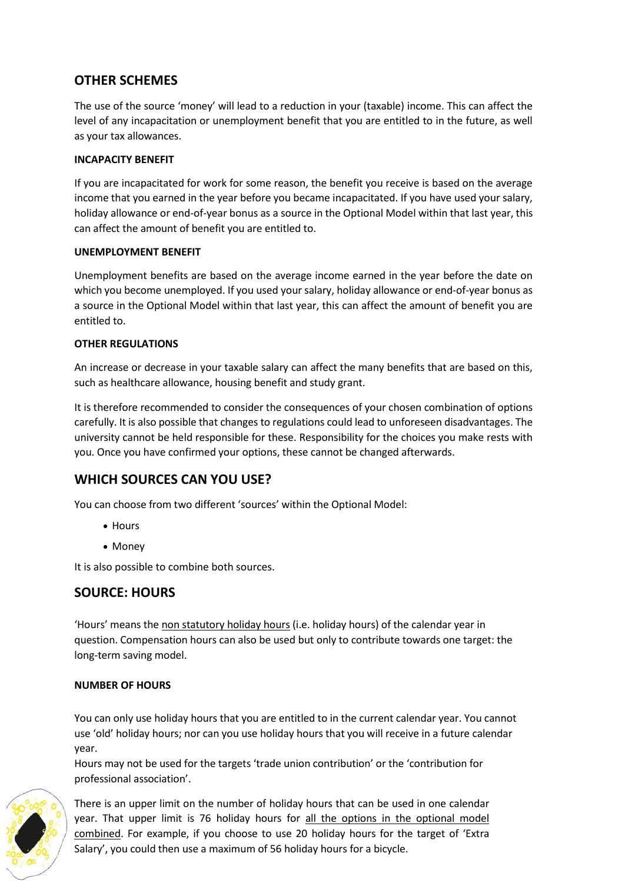### **OTHER SCHEMES**

The use of the source 'money' will lead to a reduction in your (taxable) income. This can affect the level of any incapacitation or unemployment benefit that you are entitled to in the future, as well as your tax allowances.

### <span id="page-2-0"></span>**INCAPACITY BENEFIT**

If you are incapacitated for work for some reason, the benefit you receive is based on the average income that you earned in the year before you became incapacitated. If you have used your salary, holiday allowance or end-of-year bonus as a source in the Optional Model within that last year, this can affect the amount of benefit you are entitled to.

### <span id="page-2-1"></span>**UNEMPLOYMENT BENEFIT**

Unemployment benefits are based on the average income earned in the year before the date on which you become unemployed. If you used your salary, holiday allowance or end-of-year bonus as a source in the Optional Model within that last year, this can affect the amount of benefit you are entitled to.

### <span id="page-2-2"></span>**OTHER REGULATIONS**

An increase or decrease in your taxable salary can affect the many benefits that are based on this, such as healthcare allowance, housing benefit and study grant.

It is therefore recommended to consider the consequences of your chosen combination of options carefully. It is also possible that changes to regulations could lead to unforeseen disadvantages. The university cannot be held responsible for these. Responsibility for the choices you make rests with you. Once you have confirmed your options, these cannot be changed afterwards.

### <span id="page-2-3"></span>**WHICH SOURCES CAN YOU USE?**

You can choose from two different 'sources' within the Optional Model:

- Hours
- Money

It is also possible to combine both sources.

### <span id="page-2-4"></span>**SOURCE: HOURS**

'Hours' means the non statutory holiday hours (i.e. holiday hours) of the calendar year in question. Compensation hours can also be used but only to contribute towards one target: the long-term saving model.

### **NUMBER OF HOURS**

You can only use holiday hours that you are entitled to in the current calendar year. You cannot use 'old' holiday hours; nor can you use holiday hours that you will receive in a future calendar year.

Hours may not be used for the targets 'trade union contribution' or the 'contribution for professional association'.



There is an upper limit on the number of holiday hours that can be used in one calendar year. That upper limit is 76 holiday hours for all the options in the optional model combined. For example, if you choose to use 20 holiday hours for the target of 'Extra Salary', you could then use a maximum of 56 holiday hours for a bicycle.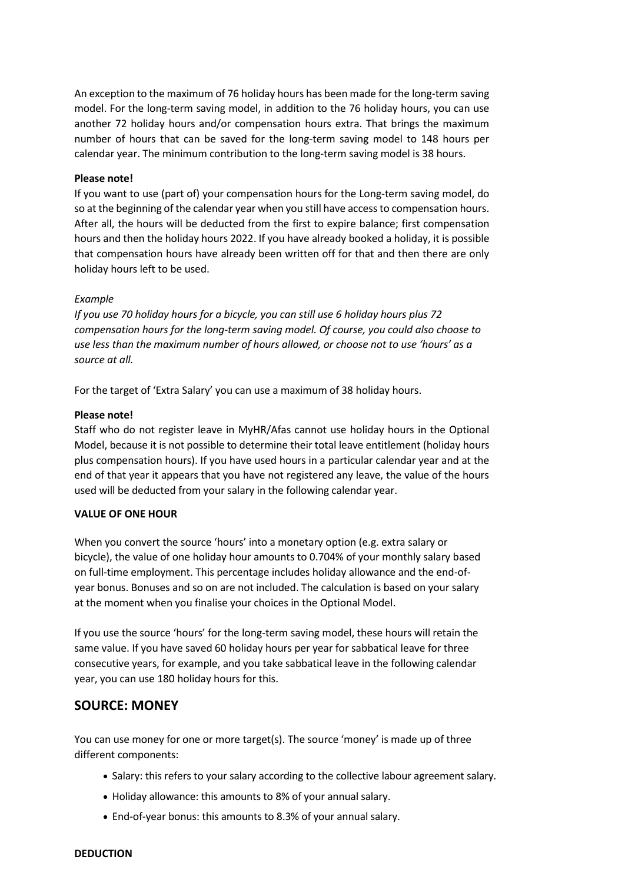An exception to the maximum of 76 holiday hours has been made for the long-term saving model. For the long-term saving model, in addition to the 76 holiday hours, you can use another 72 holiday hours and/or compensation hours extra. That brings the maximum number of hours that can be saved for the long-term saving model to 148 hours per calendar year. The minimum contribution to the long-term saving model is 38 hours.

#### **Please note!**

If you want to use (part of) your compensation hours for the Long-term saving model, do so at the beginning of the calendar year when you still have access to compensation hours. After all, the hours will be deducted from the first to expire balance; first compensation hours and then the holiday hours 2022. If you have already booked a holiday, it is possible that compensation hours have already been written off for that and then there are only holiday hours left to be used.

#### *Example*

*If you use 70 holiday hours for a bicycle, you can still use 6 holiday hours plus 72 compensation hours for the long-term saving model. Of course, you could also choose to use less than the maximum number of hours allowed, or choose not to use 'hours' as a source at all.* 

For the target of 'Extra Salary' you can use a maximum of 38 holiday hours.

#### **Please note!**

Staff who do not register leave in MyHR/Afas cannot use holiday hours in the Optional Model, because it is not possible to determine their total leave entitlement (holiday hours plus compensation hours). If you have used hours in a particular calendar year and at the end of that year it appears that you have not registered any leave, the value of the hours used will be deducted from your salary in the following calendar year.

#### <span id="page-3-0"></span>**VALUE OF ONE HOUR**

When you convert the source 'hours' into a monetary option (e.g. extra salary or bicycle), the value of one holiday hour amounts to 0.704% of your monthly salary based on full-time employment. This percentage includes holiday allowance and the end-ofyear bonus. Bonuses and so on are not included. The calculation is based on your salary at the moment when you finalise your choices in the Optional Model.

If you use the source 'hours' for the long-term saving model, these hours will retain the same value. If you have saved 60 holiday hours per year for sabbatical leave for three consecutive years, for example, and you take sabbatical leave in the following calendar year, you can use 180 holiday hours for this.

### <span id="page-3-1"></span>**SOURCE: MONEY**

You can use money for one or more target(s). The source 'money' is made up of three different components:

- Salary: this refers to your salary according to the collective labour agreement salary.
- Holiday allowance: this amounts to 8% of your annual salary.
- <span id="page-3-2"></span>• End-of-year bonus: this amounts to 8.3% of your annual salary.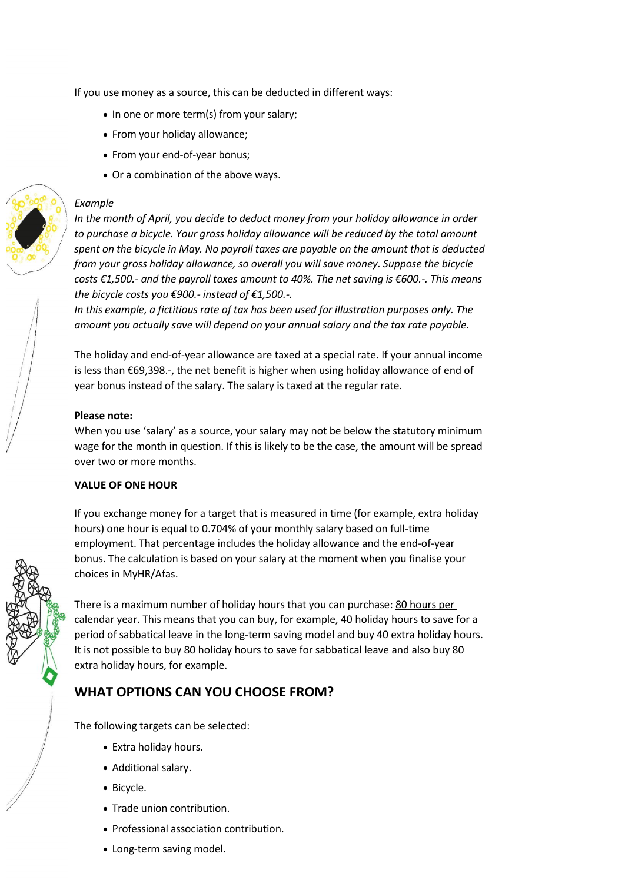If you use money as a source, this can be deducted in different ways:

- In one or more term(s) from your salary;
- From your holiday allowance;
- From your end-of-year bonus;
- Or a combination of the above ways.

#### *Example*

*In the month of April, you decide to deduct money from your holiday allowance in order to purchase a bicycle. Your gross holiday allowance will be reduced by the total amount spent on the bicycle in May. No payroll taxes are payable on the amount that is deducted from your gross holiday allowance, so overall you will save money. Suppose the bicycle costs €1,500.- and the payroll taxes amount to 40%. The net saving is €600.-. This means the bicycle costs you €900.- instead of €1,500.-.* 

*In this example, a fictitious rate of tax has been used for illustration purposes only. The amount you actually save will depend on your annual salary and the tax rate payable.* 

The holiday and end-of-year allowance are taxed at a special rate. If your annual income is less than €69,398.-, the net benefit is higher when using holiday allowance of end of year bonus instead of the salary. The salary is taxed at the regular rate.

#### **Please note:**

When you use 'salary' as a source, your salary may not be below the statutory minimum wage for the month in question. If this is likely to be the case, the amount will be spread over two or more months.

#### <span id="page-4-0"></span>**VALUE OF ONE HOUR**

If you exchange money for a target that is measured in time (for example, extra holiday hours) one hour is equal to 0.704% of your monthly salary based on full-time employment. That percentage includes the holiday allowance and the end-of-year bonus. The calculation is based on your salary at the moment when you finalise your choices in MyHR/Afas.

There is a maximum number of holiday hours that you can purchase: 80 hours per calendar year. This means that you can buy, for example, 40 holiday hours to save for a period of sabbatical leave in the long-term saving model and buy 40 extra holiday hours. It is not possible to buy 80 holiday hours to save for sabbatical leave and also buy 80 extra holiday hours, for example.

### <span id="page-4-1"></span>**WHAT OPTIONS CAN YOU CHOOSE FROM?**

The following targets can be selected:

- Extra holiday hours.
- Additional salary.
- Bicycle.
- Trade union contribution.
- Professional association contribution.
- Long-term saving model.

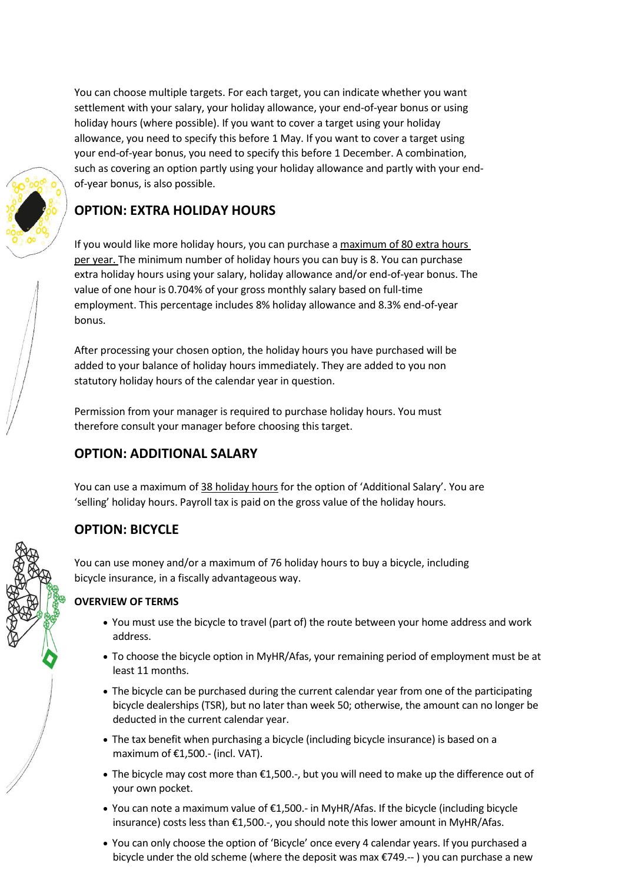You can choose multiple targets. For each target, you can indicate whether you want settlement with your salary, your holiday allowance, your end-of-year bonus or using holiday hours (where possible). If you want to cover a target using your holiday allowance, you need to specify this before 1 May. If you want to cover a target using your end-of-year bonus, you need to specify this before 1 December. A combination, such as covering an option partly using your holiday allowance and partly with your endof-year bonus, is also possible.

<span id="page-5-0"></span>

If you would like more holiday hours, you can purchase a maximum of 80 extra hours per year. The minimum number of holiday hours you can buy is 8. You can purchase extra holiday hours using your salary, holiday allowance and/or end-of-year bonus. The value of one hour is 0.704% of your gross monthly salary based on full-time employment. This percentage includes 8% holiday allowance and 8.3% end-of-year bonus.

After processing your chosen option, the holiday hours you have purchased will be added to your balance of holiday hours immediately. They are added to you non statutory holiday hours of the calendar year in question.

Permission from your manager is required to purchase holiday hours. You must therefore consult your manager before choosing this target.

### <span id="page-5-1"></span>**OPTION: ADDITIONAL SALARY**

You can use a maximum of 38 holiday hours for the option of 'Additional Salary'. You are 'selling' holiday hours. Payroll tax is paid on the gross value of the holiday hours.

### <span id="page-5-2"></span>**OPTION: BICYCLE**

You can use money and/or a maximum of 76 holiday hours to buy a bicycle, including bicycle insurance, in a fiscally advantageous way.

### <span id="page-5-3"></span>**OVERVIEW OF TERMS**

- You must use the bicycle to travel (part of) the route between your home address and work address.
- To choose the bicycle option in MyHR/Afas, your remaining period of employment must be at least 11 months.
- The bicycle can be purchased during the current calendar year from one of the participating bicycle dealerships (TSR), but no later than week 50; otherwise, the amount can no longer be deducted in the current calendar year.
- The tax benefit when purchasing a bicycle (including bicycle insurance) is based on a maximum of €1,500.- (incl. VAT).
- The bicycle may cost more than €1,500.-, but you will need to make up the difference out of your own pocket.
- You can note a maximum value of  $\epsilon$ 1,500.- in MyHR/Afas. If the bicycle (including bicycle insurance) costs less than €1,500.-, you should note this lower amount in MyHR/Afas.
- You can only choose the option of 'Bicycle' once every 4 calendar years. If you purchased a bicycle under the old scheme (where the deposit was max €749.-- ) you can purchase a new

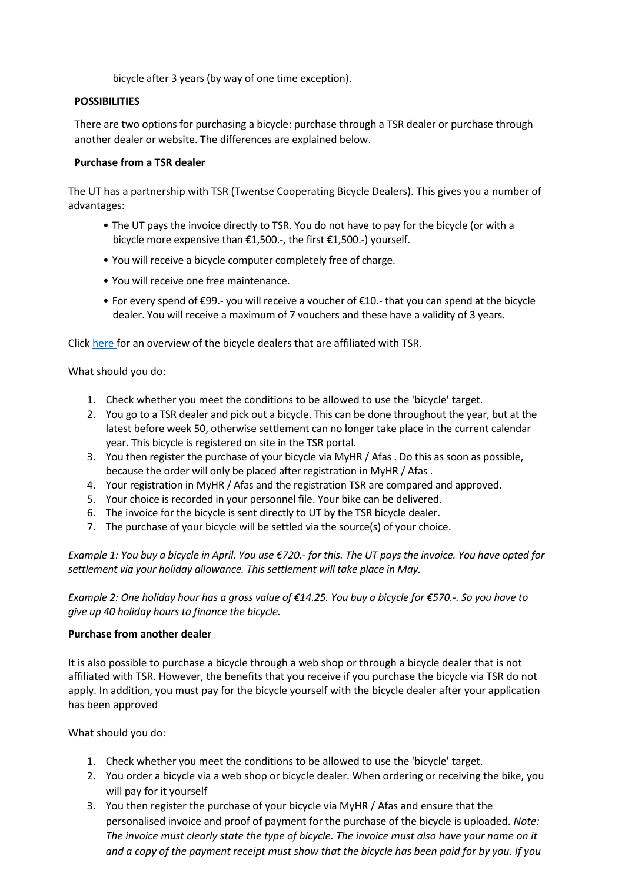bicycle after 3 years (by way of one time exception).

### <span id="page-6-0"></span>**POSSIBILITIES**

There are two options for purchasing a bicycle: purchase through a TSR dealer or purchase through another dealer or website. The differences are explained below.

### <span id="page-6-1"></span>**Purchase from a TSR dealer**

The UT has a partnership with TSR (Twentse Cooperating Bicycle Dealers). This gives you a number of advantages:

- The UT pays the invoice directly to TSR. You do not have to pay for the bicycle (or with a bicycle more expensive than €1,500.-, the first €1,500.-) yourself.
- You will receive a bicycle computer completely free of charge.
- You will receive one free maintenance.
- For every spend of €99.- you will receive a voucher of €10.- that you can spend at the bicycle dealer. You will receive a maximum of 7 vouchers and these have a validity of 3 years.

Click [here f](https://www.tsr-fietsplan.nl/index6-190.php)or an overview of the bicycle dealers that are affiliated with TSR.

What should you do:

- 1. Check whether you meet the conditions to be allowed to use the 'bicycle' target.
- 2. You go to a TSR dealer and pick out a bicycle. This can be done throughout the year, but at the latest before week 50, otherwise settlement can no longer take place in the current calendar year. This bicycle is registered on site in the TSR portal.
- 3. You then register the purchase of your bicycle via MyHR / Afas . Do this as soon as possible, because the order will only be placed after registration in MyHR / Afas .
- 4. Your registration in MyHR / Afas and the registration TSR are compared and approved.
- 5. Your choice is recorded in your personnel file. Your bike can be delivered.
- 6. The invoice for the bicycle is sent directly to UT by the TSR bicycle dealer.
- 7. The purchase of your bicycle will be settled via the source(s) of your choice.

*Example 1: You buy a bicycle in April. You use €720.- for this. The UT pays the invoice. You have opted for settlement via your holiday allowance. This settlement will take place in May.*

*Example 2: One holiday hour has a gross value of €14.25. You buy a bicycle for €570.-. So you have to give up 40 holiday hours to finance the bicycle.*

### <span id="page-6-2"></span>**Purchase from another dealer**

It is also possible to purchase a bicycle through a web shop or through a bicycle dealer that is not affiliated with TSR. However, the benefits that you receive if you purchase the bicycle via TSR do not apply. In addition, you must pay for the bicycle yourself with the bicycle dealer after your application has been approved

What should you do:

- 1. Check whether you meet the conditions to be allowed to use the 'bicycle' target.
- 2. You order a bicycle via a web shop or bicycle dealer. When ordering or receiving the bike, you will pay for it yourself
- 3. You then register the purchase of your bicycle via MyHR / Afas and ensure that the personalised invoice and proof of payment for the purchase of the bicycle is uploaded. *Note: The invoice must clearly state the type of bicycle. The invoice must also have your name on it and a copy of the payment receipt must show that the bicycle has been paid for by you. If you*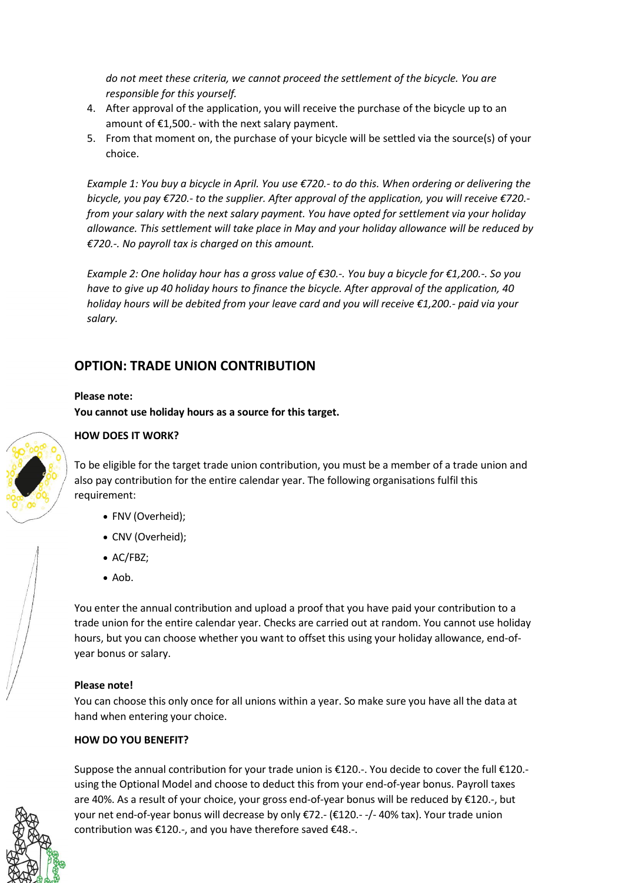*do not meet these criteria, we cannot proceed the settlement of the bicycle. You are responsible for this yourself.*

- 4. After approval of the application, you will receive the purchase of the bicycle up to an amount of €1,500.- with the next salary payment.
- 5. From that moment on, the purchase of your bicycle will be settled via the source(s) of your choice.

*Example 1: You buy a bicycle in April. You use €720.- to do this. When ordering or delivering the bicycle, you pay €720.- to the supplier. After approval of the application, you will receive €720. from your salary with the next salary payment. You have opted for settlement via your holiday allowance. This settlement will take place in May and your holiday allowance will be reduced by €720.-. No payroll tax is charged on this amount.*

*Example 2: One holiday hour has a gross value of €30.-. You buy a bicycle for €1,200.-. So you have to give up 40 holiday hours to finance the bicycle. After approval of the application, 40 holiday hours will be debited from your leave card and you will receive €1,200.- paid via your salary.*

### **OPTION: TRADE UNION CONTRIBUTION**

### **Please note:**

**You cannot use holiday hours as a source for this target.**



### <span id="page-7-0"></span>**HOW DOES IT WORK?**

To be eligible for the target trade union contribution, you must be a member of a trade union and also pay contribution for the entire calendar year. The following organisations fulfil this requirement:

- FNV (Overheid);
- CNV (Overheid);
- AC/FBZ;
- Aob.

You enter the annual contribution and upload a proof that you have paid your contribution to a trade union for the entire calendar year. Checks are carried out at random. You cannot use holiday hours, but you can choose whether you want to offset this using your holiday allowance, end-ofyear bonus or salary.

#### **Please note!**

You can choose this only once for all unions within a year. So make sure you have all the data at hand when entering your choice.

### <span id="page-7-1"></span>**HOW DO YOU BENEFIT?**

Suppose the annual contribution for your trade union is €120.-. You decide to cover the full €120. using the Optional Model and choose to deduct this from your end-of-year bonus. Payroll taxes are 40%. As a result of your choice, your gross end-of-year bonus will be reduced by €120.-, but your net end-of-year bonus will decrease by only €72.- (€120.- -/- 40% tax). Your trade union contribution was €120.-, and you have therefore saved €48.-.

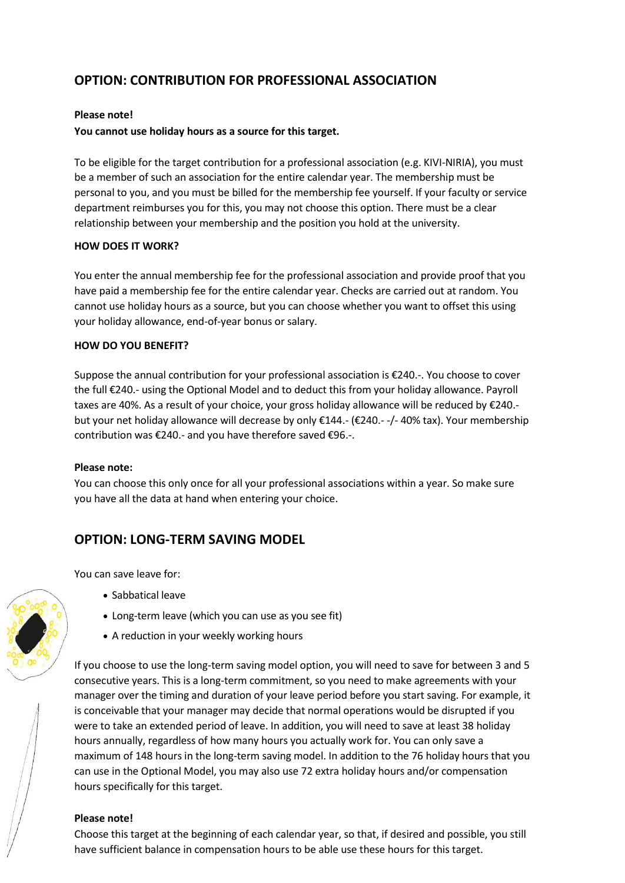### <span id="page-8-0"></span>**OPTION: CONTRIBUTION FOR PROFESSIONAL ASSOCIATION**

#### **Please note!**

### **You cannot use holiday hours as a source for this target.**

To be eligible for the target contribution for a professional association (e.g. KIVI-NIRIA), you must be a member of such an association for the entire calendar year. The membership must be personal to you, and you must be billed for the membership fee yourself. If your faculty or service department reimburses you for this, you may not choose this option. There must be a clear relationship between your membership and the position you hold at the university.

#### <span id="page-8-1"></span>**HOW DOES IT WORK?**

You enter the annual membership fee for the professional association and provide proof that you have paid a membership fee for the entire calendar year. Checks are carried out at random. You cannot use holiday hours as a source, but you can choose whether you want to offset this using your holiday allowance, end-of-year bonus or salary.

### <span id="page-8-2"></span>**HOW DO YOU BENEFIT?**

Suppose the annual contribution for your professional association is €240.-. You choose to cover the full €240.- using the Optional Model and to deduct this from your holiday allowance. Payroll taxes are 40%. As a result of your choice, your gross holiday allowance will be reduced by €240. but your net holiday allowance will decrease by only €144.- (€240.- -/- 40% tax). Your membership contribution was €240.- and you have therefore saved €96.-.

#### **Please note:**

You can choose this only once for all your professional associations within a year. So make sure you have all the data at hand when entering your choice.

### <span id="page-8-3"></span>**OPTION: LONG-TERM SAVING MODEL**

You can save leave for:

- Sabbatical leave
- Long-term leave (which you can use as you see fit)
- A reduction in your weekly working hours

If you choose to use the long-term saving model option, you will need to save for between 3 and 5 consecutive years. This is a long-term commitment, so you need to make agreements with your manager over the timing and duration of your leave period before you start saving. For example, it is conceivable that your manager may decide that normal operations would be disrupted if you were to take an extended period of leave. In addition, you will need to save at least 38 holiday hours annually, regardless of how many hours you actually work for. You can only save a maximum of 148 hours in the long-term saving model. In addition to the 76 holiday hours that you can use in the Optional Model, you may also use 72 extra holiday hours and/or compensation hours specifically for this target.

### **Please note!**

Choose this target at the beginning of each calendar year, so that, if desired and possible, you still have sufficient balance in compensation hours to be able use these hours for this target.

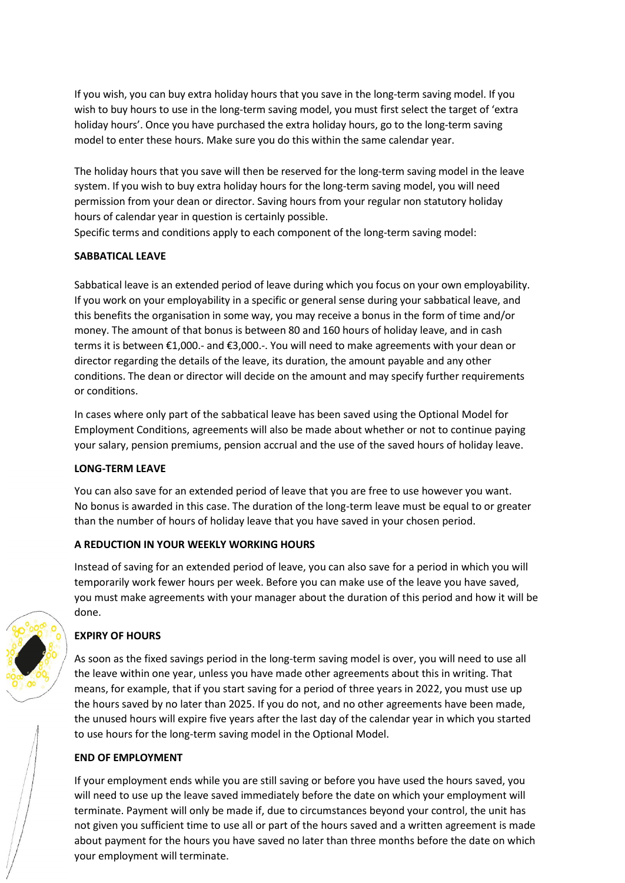If you wish, you can buy extra holiday hours that you save in the long-term saving model. If you wish to buy hours to use in the long-term saving model, you must first select the target of 'extra holiday hours'. Once you have purchased the extra holiday hours, go to the long-term saving model to enter these hours. Make sure you do this within the same calendar year.

The holiday hours that you save will then be reserved for the long-term saving model in the leave system. If you wish to buy extra holiday hours for the long-term saving model, you will need permission from your dean or director. Saving hours from your regular non statutory holiday hours of calendar year in question is certainly possible.

Specific terms and conditions apply to each component of the long-term saving model:

### <span id="page-9-0"></span>**SABBATICAL LEAVE**

Sabbatical leave is an extended period of leave during which you focus on your own employability. If you work on your employability in a specific or general sense during your sabbatical leave, and this benefits the organisation in some way, you may receive a bonus in the form of time and/or money. The amount of that bonus is between 80 and 160 hours of holiday leave, and in cash terms it is between €1,000.- and €3,000.-. You will need to make agreements with your dean or director regarding the details of the leave, its duration, the amount payable and any other conditions. The dean or director will decide on the amount and may specify further requirements or conditions.

In cases where only part of the sabbatical leave has been saved using the Optional Model for Employment Conditions, agreements will also be made about whether or not to continue paying your salary, pension premiums, pension accrual and the use of the saved hours of holiday leave.

### <span id="page-9-1"></span>**LONG-TERM LEAVE**

You can also save for an extended period of leave that you are free to use however you want. No bonus is awarded in this case. The duration of the long-term leave must be equal to or greater than the number of hours of holiday leave that you have saved in your chosen period.

### <span id="page-9-2"></span>**A REDUCTION IN YOUR WEEKLY WORKING HOURS**

Instead of saving for an extended period of leave, you can also save for a period in which you will temporarily work fewer hours per week. Before you can make use of the leave you have saved, you must make agreements with your manager about the duration of this period and how it will be done.

### <span id="page-9-3"></span>**EXPIRY OF HOURS**

As soon as the fixed savings period in the long-term saving model is over, you will need to use all the leave within one year, unless you have made other agreements about this in writing. That means, for example, that if you start saving for a period of three years in 2022, you must use up the hours saved by no later than 2025. If you do not, and no other agreements have been made, the unused hours will expire five years after the last day of the calendar year in which you started to use hours for the long-term saving model in the Optional Model.

#### <span id="page-9-4"></span>**END OF EMPLOYMENT**

If your employment ends while you are still saving or before you have used the hours saved, you will need to use up the leave saved immediately before the date on which your employment will terminate. Payment will only be made if, due to circumstances beyond your control, the unit has not given you sufficient time to use all or part of the hours saved and a written agreement is made about payment for the hours you have saved no later than three months before the date on which your employment will terminate.